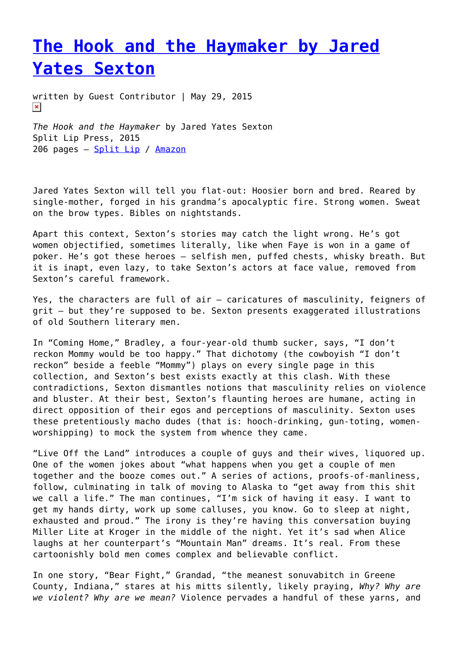## **[The Hook and the Haymaker by Jared](https://entropymag.org/the-hook-and-the-haymaker-by-jared-yates-sexton/) [Yates Sexton](https://entropymag.org/the-hook-and-the-haymaker-by-jared-yates-sexton/)**

written by Guest Contributor | May 29, 2015  $\pmb{\times}$ 

*The Hook and the Haymaker* by Jared Yates Sexton Split Lip Press, 2015 206 pages – [Split Lip](http://www.splitlippress.com/#!the-hook-and-the-haymaker/c18a) / [Amazon](http://www.amazon.com/Hook-Haymaker-Jared-Yates-Sexton/dp/0990903524/ref=sr_1_1?ie=UTF8&qid=1431786357&sr=8-1&keywords=hook+and+the+haymaker)

Jared Yates Sexton will tell you flat-out: Hoosier born and bred. Reared by single-mother, forged in his grandma's apocalyptic fire. Strong women. Sweat on the brow types. Bibles on nightstands.

Apart this context, Sexton's stories may catch the light wrong. He's got women objectified, sometimes literally, like when Faye is won in a game of poker. He's got these heroes – selfish men, puffed chests, whisky breath. But it is inapt, even lazy, to take Sexton's actors at face value, removed from Sexton's careful framework.

Yes, the characters are full of air – caricatures of masculinity, feigners of grit – but they're supposed to be. Sexton presents exaggerated illustrations of old Southern literary men.

In "Coming Home," Bradley, a four-year-old thumb sucker, says, "I don't reckon Mommy would be too happy." That dichotomy (the cowboyish "I don't reckon" beside a feeble "Mommy") plays on every single page in this collection, and Sexton's best exists exactly at this clash. With these contradictions, Sexton dismantles notions that masculinity relies on violence and bluster. At their best, Sexton's flaunting heroes are humane, acting in direct opposition of their egos and perceptions of masculinity. Sexton uses these pretentiously macho dudes (that is: hooch-drinking, gun-toting, womenworshipping) to mock the system from whence they came.

"Live Off the Land" introduces a couple of guys and their wives, liquored up. One of the women jokes about "what happens when you get a couple of men together and the booze comes out." A series of actions, proofs-of-manliness, follow, culminating in talk of moving to Alaska to "get away from this shit we call a life." The man continues, "I'm sick of having it easy. I want to get my hands dirty, work up some calluses, you know. Go to sleep at night, exhausted and proud." The irony is they're having this conversation buying Miller Lite at Kroger in the middle of the night. Yet it's sad when Alice laughs at her counterpart's "Mountain Man" dreams. It's real. From these cartoonishly bold men comes complex and believable conflict.

In one story, "Bear Fight," Grandad, "the meanest sonuvabitch in Greene County, Indiana," stares at his mitts silently, likely praying, *Why? Why are we violent? Why are we mean?* Violence pervades a handful of these yarns, and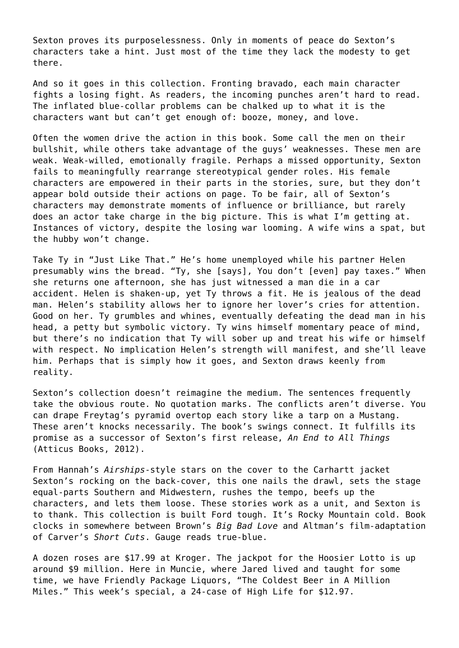Sexton proves its purposelessness. Only in moments of peace do Sexton's characters take a hint. Just most of the time they lack the modesty to get there.

And so it goes in this collection. Fronting bravado, each main character fights a losing fight. As readers, the incoming punches aren't hard to read. The inflated blue-collar problems can be chalked up to what it is the characters want but can't get enough of: booze, money, and love.

Often the women drive the action in this book. Some call the men on their bullshit, while others take advantage of the guys' weaknesses. These men are weak. Weak-willed, emotionally fragile. Perhaps a missed opportunity, Sexton fails to meaningfully rearrange stereotypical gender roles. His female characters are empowered in their parts in the stories, sure, but they don't appear bold outside their actions on page. To be fair, all of Sexton's characters may demonstrate moments of influence or brilliance, but rarely does an actor take charge in the big picture. This is what I'm getting at. Instances of victory, despite the losing war looming. A wife wins a spat, but the hubby won't change.

Take Ty in "Just Like That." He's home unemployed while his partner Helen presumably wins the bread. "Ty, she [says], You don't [even] pay taxes." When she returns one afternoon, she has just witnessed a man die in a car accident. Helen is shaken-up, yet Ty throws a fit. He is jealous of the dead man. Helen's stability allows her to ignore her lover's cries for attention. Good on her. Ty grumbles and whines, eventually defeating the dead man in his head, a petty but symbolic victory. Ty wins himself momentary peace of mind, but there's no indication that Ty will sober up and treat his wife or himself with respect. No implication Helen's strength will manifest, and she'll leave him. Perhaps that is simply how it goes, and Sexton draws keenly from reality.

Sexton's collection doesn't reimagine the medium. The sentences frequently take the obvious route. No quotation marks. The conflicts aren't diverse. You can drape Freytag's pyramid overtop each story like a tarp on a Mustang. These aren't knocks necessarily. The book's swings connect. It fulfills its promise as a successor of Sexton's first release, *An End to All Things* (Atticus Books, 2012).

From Hannah's *Airships*-style stars on the cover to the Carhartt jacket Sexton's rocking on the back-cover, this one nails the drawl, sets the stage equal-parts Southern and Midwestern, rushes the tempo, beefs up the characters, and lets them loose. These stories work as a unit, and Sexton is to thank. This collection is built Ford tough. It's Rocky Mountain cold. Book clocks in somewhere between Brown's *Big Bad Love* and Altman's film-adaptation of Carver's *Short Cuts*. Gauge reads true-blue.

A dozen roses are \$17.99 at Kroger. The jackpot for the Hoosier Lotto is up around \$9 million. Here in Muncie, where Jared lived and taught for some time, we have Friendly Package Liquors, "The Coldest Beer in A Million Miles." This week's special, a 24-case of High Life for \$12.97.